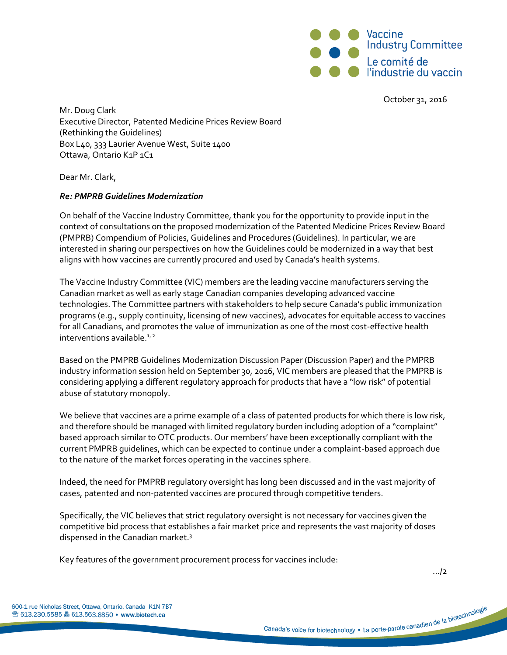

October 31, 2016

Mr. Doug Clark Executive Director, Patented Medicine Prices Review Board (Rethinking the Guidelines) Box L40, 333 Laurier Avenue West, Suite 1400 Ottawa, Ontario K1P 1C1

Dear Mr. Clark,

## *Re: PMPRB Guidelines Modernization*

On behalf of the Vaccine Industry Committee, thank you for the opportunity to provide input in the context of consultations on the proposed modernization of the Patented Medicine Prices Review Board (PMPRB) Compendium of Policies, Guidelines and Procedures (Guidelines). In particular, we are interested in sharing our perspectives on how the Guidelines could be modernized in a way that best aligns with how vaccines are currently procured and used by Canada's health systems.

The Vaccine Industry Committee (VIC) members are the leading vaccine manufacturers serving the Canadian market as well as early stage Canadian companies developing advanced vaccine technologies. The Committee partners with stakeholders to help secure Canada's public immunization programs (e.g., supply continuity, licensing of new vaccines), advocates for equitable access to vaccines for all Canadians, and promotes the value of immunization as one of the most cost-effective health interventions available. $1/2$ 

Based on the PMPRB Guidelines Modernization Discussion Paper (Discussion Paper) and the PMPRB industry information session held on September 30, 2016, VIC members are pleased that the PMPRB is considering applying a different regulatory approach for products that have a "low risk" of potential abuse of statutory monopoly.

We believe that vaccines are a prime example of a class of patented products for which there is low risk, and therefore should be managed with limited regulatory burden including adoption of a "complaint" based approach similar to OTC products. Our members' have been exceptionally compliant with the current PMPRB guidelines, which can be expected to continue under a complaint-based approach due to the nature of the market forces operating in the vaccines sphere.

Indeed, the need for PMPRB regulatory oversight has long been discussed and in the vast majority of cases, patented and non-patented vaccines are procured through competitive tenders.

Specifically, the VIC believes that strict regulatory oversight is not necessary for vaccines given the competitive bid process that establishes a fair market price and represents the vast majority of doses dispensed in the Canadian market.<sup>3</sup>

Key features of the government procurement process for vaccines include:

…/2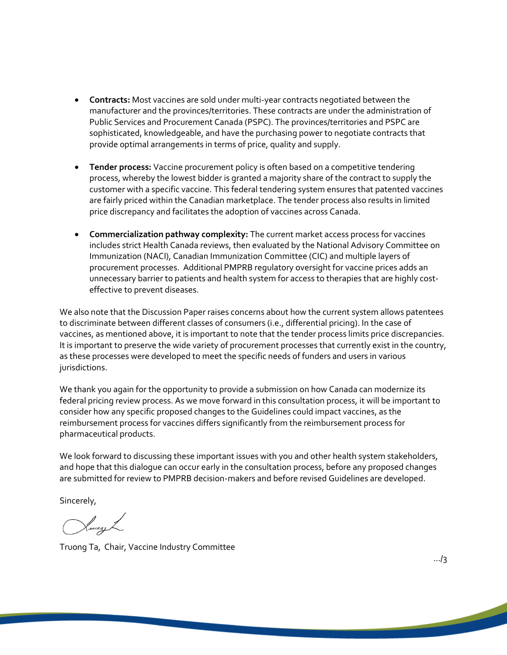- **Contracts:** Most vaccines are sold under multi-year contracts negotiated between the manufacturer and the provinces/territories. These contracts are under the administration of Public Services and Procurement Canada (PSPC). The provinces/territories and PSPC are sophisticated, knowledgeable, and have the purchasing power to negotiate contracts that provide optimal arrangements in terms of price, quality and supply.
- **Tender process:** Vaccine procurement policy is often based on a competitive tendering process, whereby the lowest bidder is granted a majority share of the contract to supply the customer with a specific vaccine. This federal tendering system ensures that patented vaccines are fairly priced within the Canadian marketplace. The tender process also results in limited price discrepancy and facilitates the adoption of vaccines across Canada.
- **Commercialization pathway complexity:** The current market access process for vaccines includes strict Health Canada reviews, then evaluated by the National Advisory Committee on Immunization (NACI), Canadian Immunization Committee (CIC) and multiple layers of procurement processes. Additional PMPRB regulatory oversight for vaccine prices adds an unnecessary barrier to patients and health system for access to therapies that are highly costeffective to prevent diseases.

We also note that the Discussion Paper raises concerns about how the current system allows patentees to discriminate between different classes of consumers (i.e., differential pricing). In the case of vaccines, as mentioned above, it is important to note that the tender process limits price discrepancies. It is important to preserve the wide variety of procurement processes that currently exist in the country, as these processes were developed to meet the specific needs of funders and users in various jurisdictions.

We thank you again for the opportunity to provide a submission on how Canada can modernize its federal pricing review process. As we move forward in this consultation process, it will be important to consider how any specific proposed changes to the Guidelines could impact vaccines, as the reimbursement process for vaccines differs significantly from the reimbursement process for pharmaceutical products.

We look forward to discussing these important issues with you and other health system stakeholders, and hope that this dialogue can occur early in the consultation process, before any proposed changes are submitted for review to PMPRB decision-makers and before revised Guidelines are developed.

Sincerely,

Lucash

Truong Ta, Chair, Vaccine Industry Committee

…/3